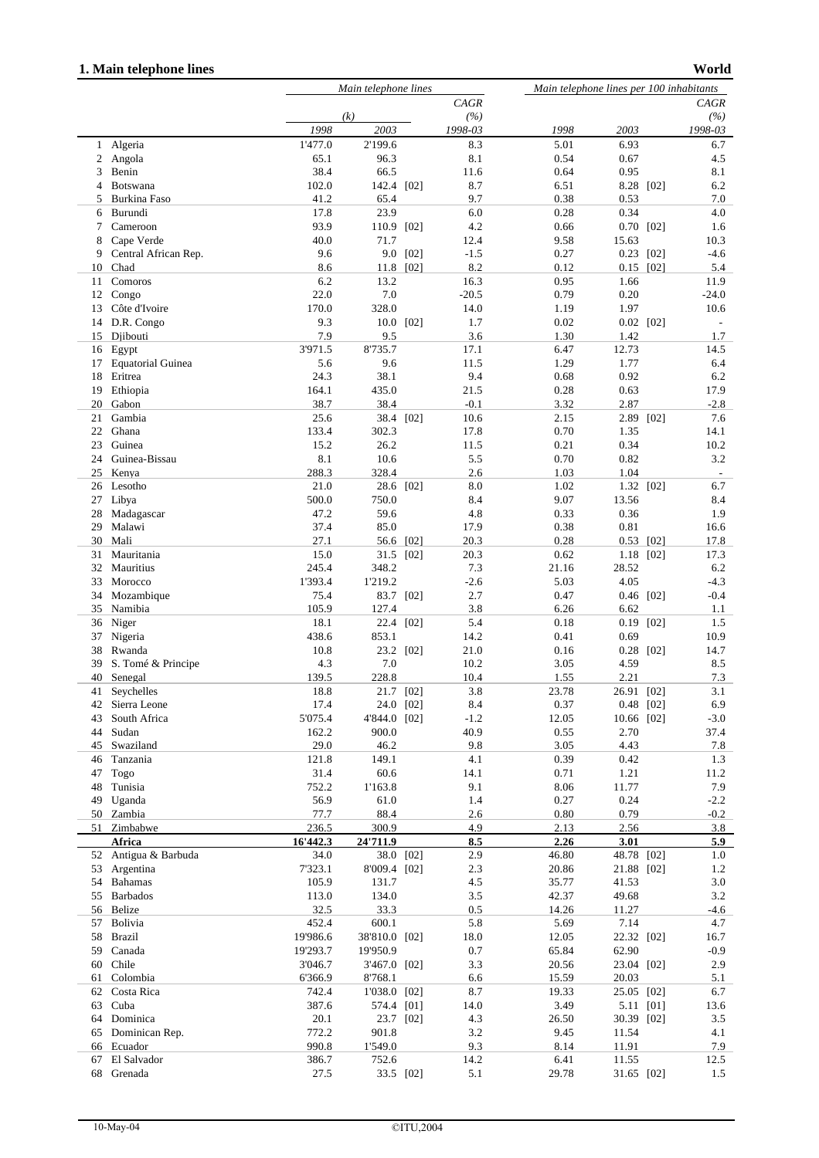## **1. Main telephone lines**

```
World
```

|              |                          |                   | Main telephone lines   |           |                 |               | Main telephone lines per 100 inhabitants |      |                          |  |
|--------------|--------------------------|-------------------|------------------------|-----------|-----------------|---------------|------------------------------------------|------|--------------------------|--|
|              |                          |                   | CAGR                   |           |                 | CAGR          |                                          |      |                          |  |
|              |                          |                   | (k)                    |           | (%)             |               |                                          |      | (%)                      |  |
|              |                          | 1998              | 2003                   |           | 1998-03         | 1998          | 2003                                     |      | 1998-03                  |  |
| $\mathbf{1}$ | Algeria                  | 1'477.0           | 2'199.6                |           | 8.3             | 5.01          | 6.93                                     |      | 6.7                      |  |
| 2            | Angola                   | 65.1              | 96.3                   |           | 8.1             | 0.54          | 0.67                                     |      | 4.5                      |  |
| 3            | Benin                    | 38.4              | 66.5                   |           | 11.6            | 0.64          | 0.95                                     |      | 8.1                      |  |
| 4            | Botswana                 | 102.0             | 142.4 [02]             |           | 8.7             | 6.51          | 8.28                                     | [02] | 6.2                      |  |
| 5            | Burkina Faso             | 41.2              | 65.4                   |           | 9.7             | 0.38          | 0.53                                     |      | 7.0                      |  |
| 6            | Burundi                  | 17.8              | 23.9                   |           | 6.0             | 0.28          | 0.34                                     |      | 4.0                      |  |
| 7            | Cameroon                 | 93.9              | 110.9 [02]             |           | 4.2             | 0.66          | 0.70                                     | [02] | 1.6                      |  |
| 8            | Cape Verde               | 40.0              | 71.7                   |           | 12.4            | 9.58          | 15.63                                    |      | 10.3                     |  |
| 9            | Central African Rep.     | 9.6               | 9.0                    | [02]      | $-1.5$          | 0.27          | 0.23                                     | [02] | $-4.6$                   |  |
| 10           | Chad                     | 8.6               | 11.8                   | [02]      | 8.2             | 0.12          | 0.15                                     | [02] | 5.4                      |  |
| 11           | Comoros                  | 6.2<br>22.0       | 13.2                   |           | 16.3            | 0.95          | 1.66                                     |      | 11.9                     |  |
| 12<br>13     | Congo<br>Côte d'Ivoire   | 170.0             | 7.0<br>328.0           |           | $-20.5$<br>14.0 | 0.79<br>1.19  | 0.20<br>1.97                             |      | $-24.0$<br>10.6          |  |
| 14           | D.R. Congo               | 9.3               | 10.0 [02]              |           | 1.7             | 0.02          | $0.02$ [02]                              |      |                          |  |
| 15           | Djibouti                 | 7.9               | 9.5                    |           | 3.6             | 1.30          | 1.42                                     |      | 1.7                      |  |
|              | 16 Egypt                 | 3'971.5           | 8'735.7                |           | 17.1            | 6.47          | 12.73                                    |      | 14.5                     |  |
| 17           | <b>Equatorial Guinea</b> | 5.6               | 9.6                    |           | 11.5            | 1.29          | 1.77                                     |      | 6.4                      |  |
| 18           | Eritrea                  | 24.3              | 38.1                   |           | 9.4             | 0.68          | 0.92                                     |      | 6.2                      |  |
| 19           | Ethiopia                 | 164.1             | 435.0                  |           | 21.5            | 0.28          | 0.63                                     |      | 17.9                     |  |
| 20           | Gabon                    | 38.7              | 38.4                   |           | $-0.1$          | 3.32          | 2.87                                     |      | $-2.8$                   |  |
| 21           | Gambia                   | 25.6              |                        | 38.4 [02] | 10.6            | 2.15          | 2.89                                     | [02] | 7.6                      |  |
| 22           | Ghana                    | 133.4             | 302.3                  |           | 17.8            | 0.70          | 1.35                                     |      | 14.1                     |  |
| 23           | Guinea                   | 15.2              | 26.2                   |           | 11.5            | 0.21          | 0.34                                     |      | 10.2                     |  |
| 24           | Guinea-Bissau            | 8.1               | 10.6                   |           | 5.5             | 0.70          | 0.82                                     |      | 3.2                      |  |
| 25           | Kenya                    | 288.3             | 328.4                  |           | 2.6             | 1.03          | 1.04                                     |      | $\overline{\phantom{a}}$ |  |
| 26           | Lesotho                  | 21.0              | 28.6 [02]              |           | 8.0             | 1.02          | 1.32 [02]                                |      | 6.7                      |  |
| 27           | Libya                    | 500.0             | 750.0                  |           | 8.4             | 9.07          | 13.56                                    |      | 8.4                      |  |
| 28           | Madagascar               | 47.2              | 59.6                   |           | 4.8             | 0.33          | 0.36                                     |      | 1.9                      |  |
| 29           | Malawi                   | 37.4              | 85.0                   |           | 17.9            | 0.38          | 0.81                                     |      | 16.6                     |  |
| 30           | Mali                     | 27.1              | 56.6                   | [02]      | 20.3            | 0.28          | 0.53                                     | [02] | 17.8                     |  |
| 31           | Mauritania               | 15.0              |                        | 31.5 [02] | 20.3            | 0.62          | 1.18                                     | [02] | 17.3                     |  |
| 32           | Mauritius                | 245.4             | 348.2                  |           | 7.3             | 21.16         | 28.52                                    |      | 6.2                      |  |
| 33           | Morocco                  | 1'393.4           | 1'219.2                |           | $-2.6$          | 5.03          | 4.05                                     |      | $-4.3$                   |  |
| 34           | Mozambique               | 75.4              |                        | 83.7 [02] | 2.7             | 0.47          | $0.46$ [02]                              |      | $-0.4$                   |  |
| 35           | Namibia                  | 105.9             | 127.4                  |           | 3.8             | 6.26          | 6.62                                     |      | 1.1                      |  |
| 36           | Niger                    | 18.1<br>438.6     | 22.4<br>853.1          | [02]      | 5.4             | 0.18<br>0.41  | 0.19<br>0.69                             | [02] | 1.5                      |  |
| 37<br>38     | Nigeria<br>Rwanda        | 10.8              |                        | 23.2 [02] | 14.2<br>21.0    | 0.16          | $0.28$ [02]                              |      | 10.9<br>14.7             |  |
| 39           | S. Tomé & Principe       | 4.3               | 7.0                    |           | 10.2            | 3.05          | 4.59                                     |      | 8.5                      |  |
| 40           | Senegal                  | 139.5             | 228.8                  |           | 10.4            | 1.55          | 2.21                                     |      | 7.3                      |  |
| 41           | Seychelles               | 18.8              | 21.7                   | [02]      | 3.8             | 23.78         | 26.91                                    | [02] | 3.1                      |  |
| 42           | Sierra Leone             | 17.4              | 24.0 [02]              |           | 8.4             | 0.37          | $0.48$ [02]                              |      | 6.9                      |  |
| 43           | South Africa             | 5'075.4           | 4'844.0 [02]           |           | $-1.2$          | 12.05         | 10.66 [02]                               |      | $-3.0$                   |  |
| 44           | Sudan                    | 162.2             | 900.0                  |           | 40.9            | 0.55          | 2.70                                     |      | 37.4                     |  |
| 45           | Swaziland                | 29.0              | 46.2                   |           | 9.8             | 3.05          | 4.43                                     |      | 7.8                      |  |
| 46           | Tanzania                 | 121.8             | 149.1                  |           | 4.1             | 0.39          | 0.42                                     |      | 1.3                      |  |
| 47           | Togo                     | 31.4              | 60.6                   |           | 14.1            | 0.71          | 1.21                                     |      | 11.2                     |  |
| 48           | Tunisia                  | 752.2             | 1'163.8                |           | 9.1             | 8.06          | 11.77                                    |      | 7.9                      |  |
| 49           | Uganda                   | 56.9              | 61.0                   |           | 1.4             | 0.27          | 0.24                                     |      | $-2.2$                   |  |
|              | 50 Zambia                | 77.7              | 88.4                   |           | 2.6             | 0.80          | 0.79                                     |      | $-0.2$                   |  |
| 51           | Zimbabwe                 | 236.5             | 300.9                  |           | 4.9             | 2.13          | 2.56                                     |      | 3.8                      |  |
|              | Africa                   | 16'442.3          | 24'711.9               |           | 8.5             | 2.26          | 3.01                                     |      | 5.9                      |  |
|              | 52 Antigua & Barbuda     | 34.0              |                        | 38.0 [02] | 2.9             | 46.80         | 48.78 [02]                               |      | 1.0                      |  |
| 53           | Argentina                | 7'323.1           | 8'009.4 [02]           |           | 2.3             | 20.86         | 21.88 [02]                               |      | 1.2                      |  |
| 54           | <b>Bahamas</b>           | 105.9             | 131.7                  |           | 4.5             | 35.77         | 41.53                                    |      | 3.0                      |  |
| 55           | <b>Barbados</b>          | 113.0             | 134.0                  |           | 3.5             | 42.37         | 49.68                                    |      | 3.2                      |  |
| 56           | Belize                   | 32.5              | 33.3                   |           | 0.5             | 14.26         | 11.27                                    |      | -4.6                     |  |
| 57<br>58     | Bolivia<br><b>Brazil</b> | 452.4<br>19'986.6 | 600.1<br>38'810.0 [02] |           | 5.8<br>18.0     | 5.69<br>12.05 | 7.14<br>22.32 [02]                       |      | 4.7<br>16.7              |  |
| 59           | Canada                   | 19'293.7          | 19'950.9               |           | 0.7             | 65.84         | 62.90                                    |      | $-0.9$                   |  |
| 60           | Chile                    | 3'046.7           | 3'467.0 [02]           |           | 3.3             | 20.56         | 23.04 [02]                               |      | 2.9                      |  |
| 61           | Colombia                 | 6'366.9           | 8'768.1                |           | 6.6             | 15.59         | 20.03                                    |      | 5.1                      |  |
| 62           | Costa Rica               | 742.4             | 1'038.0 [02]           |           | 8.7             | 19.33         | 25.05 [02]                               |      | 6.7                      |  |
| 63           | Cuba                     | 387.6             | 574.4 [01]             |           | 14.0            | 3.49          | 5.11 [01]                                |      | 13.6                     |  |
| 64           | Dominica                 | 20.1              |                        | 23.7 [02] | 4.3             | 26.50         | 30.39 [02]                               |      | $3.5\,$                  |  |
| 65           | Dominican Rep.           | 772.2             | 901.8                  |           | 3.2             | 9.45          | 11.54                                    |      | 4.1                      |  |
| 66           | Ecuador                  | 990.8             | 1'549.0                |           | 9.3             | 8.14          | 11.91                                    |      | 7.9                      |  |
| 67           | El Salvador              | 386.7             | 752.6                  |           | 14.2            | 6.41          | 11.55                                    |      | 12.5                     |  |
| 68           | Grenada                  | 27.5              |                        | 33.5 [02] | 5.1             | 29.78         | 31.65 [02]                               |      | 1.5                      |  |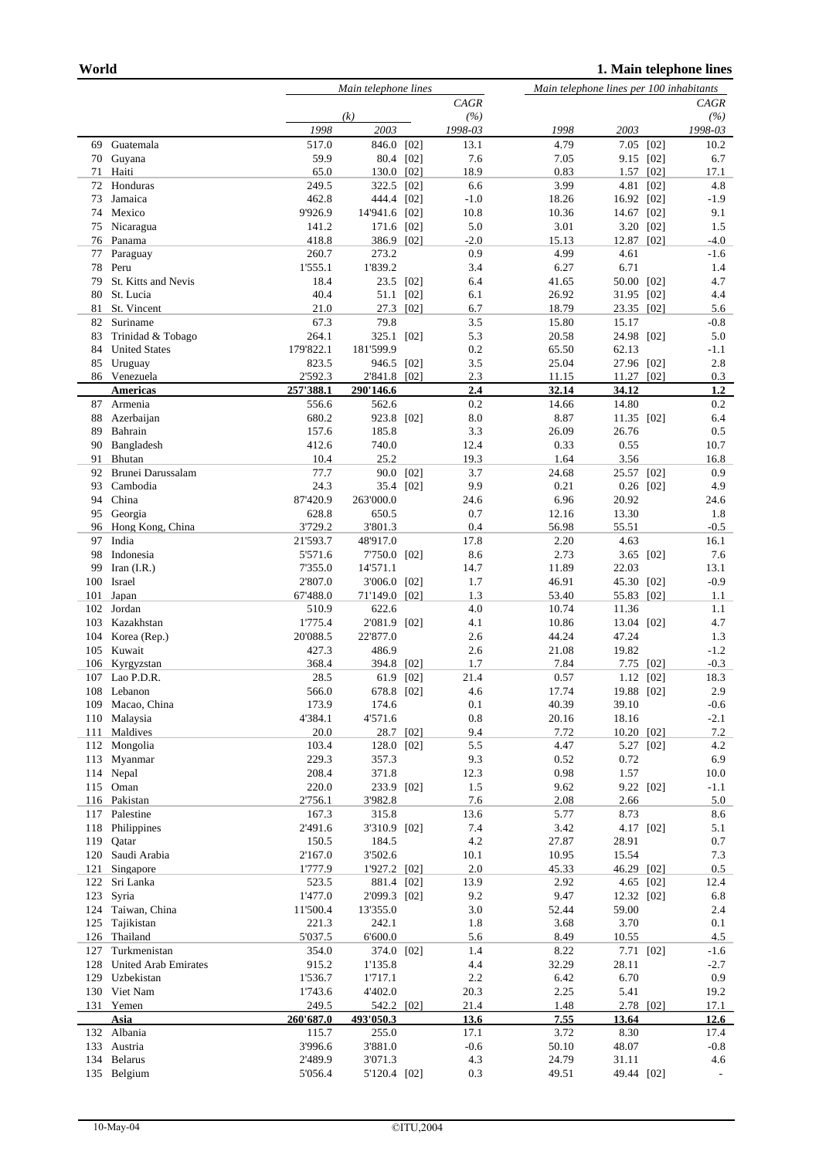|            |                       |                   | Main telephone lines     |      |              |                | Main telephone lines per 100 inhabitants |                          |  |  |
|------------|-----------------------|-------------------|--------------------------|------|--------------|----------------|------------------------------------------|--------------------------|--|--|
|            |                       |                   | <b>CAGR</b>              |      |              | CAGR           |                                          |                          |  |  |
|            |                       |                   | (k)                      |      | (%)          |                |                                          | (%)                      |  |  |
|            |                       | 1998              | 2003                     |      | 1998-03      | 1998           | 2003                                     | 1998-03                  |  |  |
| 69         | Guatemala             | 517.0             | 846.0 [02]               |      | 13.1         | 4.79           | 7.05 [02]                                | 10.2                     |  |  |
| 70         | Guyana                | 59.9              | 80.4 [02]                |      | 7.6          | 7.05           | 9.15<br>[02]                             | 6.7                      |  |  |
| 71         | Haiti                 | 65.0              | 130.0 [02]               |      | 18.9         | 0.83           | [02]<br>1.57                             | 17.1                     |  |  |
| 72         | Honduras              | 249.5             | 322.5 [02]               |      | 6.6          | 3.99           | 4.81 [02]                                | 4.8                      |  |  |
| 73         | Jamaica               | 462.8             | 444.4 [02]               |      | $-1.0$       | 18.26          | 16.92 [02]                               | -1.9                     |  |  |
| 74<br>75   | Mexico<br>Nicaragua   | 9'926.9<br>141.2  | 14'941.6 [02]            |      | 10.8<br>5.0  | 10.36<br>3.01  | 14.67 [02]                               | 9.1<br>1.5               |  |  |
| 76         | Panama                | 418.8             | 171.6 [02]<br>386.9 [02] |      | $-2.0$       | 15.13          | 3.20<br>[02]<br>12.87<br>[02]            | -4.0                     |  |  |
| 77         | Paraguay              | 260.7             | 273.2                    |      | 0.9          | 4.99           | 4.61                                     | $-1.6$                   |  |  |
| 78         | Peru                  | 1'555.1           | 1'839.2                  |      | 3.4          | 6.27           | 6.71                                     | 1.4                      |  |  |
| 79         | St. Kitts and Nevis   | 18.4              | 23.5                     | [02] | 6.4          | 41.65          | 50.00<br>[02]                            | 4.7                      |  |  |
| 80         | St. Lucia             | 40.4              | 51.1                     | [02] | 6.1          | 26.92          | 31.95<br>[02]                            | 4.4                      |  |  |
| 81         | St. Vincent           | 21.0              | 27.3 [02]                |      | 6.7          | 18.79          | 23.35 [02]                               | 5.6                      |  |  |
| 82         | Suriname              | 67.3              | 79.8                     |      | 3.5          | 15.80          | 15.17                                    | $-0.8$                   |  |  |
| 83         | Trinidad & Tobago     | 264.1             | 325.1 [02]               |      | 5.3          | 20.58          | 24.98 [02]                               | 5.0                      |  |  |
| 84         | <b>United States</b>  | 179'822.1         | 181'599.9                |      | 0.2          | 65.50          | 62.13                                    | -1.1                     |  |  |
| 85         | Uruguay               | 823.5             | 946.5 [02]               |      | 3.5          | 25.04          | 27.96 [02]                               | 2.8                      |  |  |
|            | 86 Venezuela          | 2'592.3           | 2'841.8 [02]             |      | 2.3          | 11.15          | [02]<br>11.27                            | 0.3                      |  |  |
|            | <b>Americas</b>       | 257'388.1         | 290'146.6                |      | 2.4          | 32.14          | 34.12                                    | 1.2                      |  |  |
| 87<br>88   | Armenia               | 556.6<br>680.2    | 562.6                    |      | 0.2<br>8.0   | 14.66<br>8.87  | 14.80                                    | 0.2<br>6.4               |  |  |
| 89         | Azerbaijan<br>Bahrain | 157.6             | 923.8 [02]<br>185.8      |      | 3.3          | 26.09          | 11.35 [02]<br>26.76                      | 0.5                      |  |  |
| 90         | Bangladesh            | 412.6             | 740.0                    |      | 12.4         | 0.33           | 0.55                                     | 10.7                     |  |  |
| 91         | Bhutan                | 10.4              | 25.2                     |      | 19.3         | 1.64           | 3.56                                     | 16.8                     |  |  |
| 92         | Brunei Darussalam     | 77.7              | 90.0                     | [02] | 3.7          | 24.68          | 25.57<br>[02]                            | 0.9                      |  |  |
| 93         | Cambodia              | 24.3              | 35.4 [02]                |      | 9.9          | 0.21           | $0.26$ [02]                              | 4.9                      |  |  |
| 94         | China                 | 87'420.9          | 263'000.0                |      | 24.6         | 6.96           | 20.92                                    | 24.6                     |  |  |
| 95         | Georgia               | 628.8             | 650.5                    |      | 0.7          | 12.16          | 13.30                                    | 1.8                      |  |  |
| 96         | Hong Kong, China      | 3'729.2           | 3'801.3                  |      | 0.4          | 56.98          | 55.51                                    | $-0.5$                   |  |  |
| 97         | India                 | 21'593.7          | 48'917.0                 |      | 17.8         | 2.20           | 4.63                                     | 16.1                     |  |  |
| 98         | Indonesia             | 5'571.6           | 7'750.0 [02]             |      | 8.6          | 2.73           | 3.65<br>[02]                             | 7.6                      |  |  |
| 99         | Iran $(I.R.)$         | 7'355.0           | 14'571.1                 |      | 14.7         | 11.89          | 22.03                                    | 13.1                     |  |  |
| 100        | Israel                | 2'807.0           | 3'006.0 [02]             |      | 1.7          | 46.91          | 45.30<br>[02]                            | $-0.9$                   |  |  |
| 101<br>102 | Japan<br>Jordan       | 67'488.0<br>510.9 | 71'149.0 [02]<br>622.6   |      | 1.3<br>4.0   | 53.40<br>10.74 | 55.83 [02]<br>11.36                      | 1.1<br>1.1               |  |  |
| 103        | Kazakhstan            | 1'775.4           | 2'081.9 [02]             |      | 4.1          | 10.86          | 13.04<br>[02]                            | 4.7                      |  |  |
| 104        | Korea (Rep.)          | 20'088.5          | 22'877.0                 |      | 2.6          | 44.24          | 47.24                                    | 1.3                      |  |  |
| 105        | Kuwait                | 427.3             | 486.9                    |      | 2.6          | 21.08          | 19.82                                    | $-1.2$                   |  |  |
| 106        | Kyrgyzstan            | 368.4             | 394.8                    | [02] | 1.7          | 7.84           | [02]<br>7.75                             | $-0.3$                   |  |  |
| 107        | Lao P.D.R.            | 28.5              | 61.9                     | [02] | 21.4         | 0.57           | 1.12<br>[02]                             | 18.3                     |  |  |
| 108        | Lebanon               | 566.0             | 678.8                    | [02] | 4.6          | 17.74          | 19.88 [02]                               | 2.9                      |  |  |
| 109        | Macao, China          | 173.9             | 174.6                    |      | 0.1          | 40.39          | 39.10                                    | $-0.6$                   |  |  |
| 110        | Malaysia              | 4'384.1           | 4'571.6                  |      | 0.8          | 20.16          | 18.16                                    | $-2.1$                   |  |  |
| 111        | Maldives              | 20.0              | 28.7 [02]                |      | 9.4          | 7.72           | 10.20 [02]                               | 7.2                      |  |  |
| 112        | Mongolia              | 103.4             | 128.0 [02]               |      | 5.5          | 4.47           | 5.27<br>$[02]$                           | 4.2                      |  |  |
| 113        | Myanmar               | 229.3             | 357.3                    |      | 9.3          | 0.52           | 0.72                                     | 6.9                      |  |  |
| 114<br>115 | Nepal<br>Oman         | 208.4<br>220.0    | 371.8                    |      | 12.3<br>1.5  | 0.98<br>9.62   | 1.57                                     | 10.0                     |  |  |
|            | 116 Pakistan          | 2'756.1           | 233.9 [02]<br>3'982.8    |      | 7.6          | 2.08           | 9.22<br>[02]<br>2.66                     | $-1.1$<br>5.0            |  |  |
| 117        | Palestine             | 167.3             | 315.8                    |      | 13.6         | 5.77           | 8.73                                     | 8.6                      |  |  |
| 118        | Philippines           | 2'491.6           | 3'310.9 [02]             |      | 7.4          | 3.42           | 4.17<br>[02]                             | 5.1                      |  |  |
| 119        | Qatar                 | 150.5             | 184.5                    |      | 4.2          | 27.87          | 28.91                                    | 0.7                      |  |  |
| 120        | Saudi Arabia          | 2'167.0           | 3'502.6                  |      | 10.1         | 10.95          | 15.54                                    | 7.3                      |  |  |
| 121        | Singapore             | 1'777.9           | 1'927.2 [02]             |      | 2.0          | 45.33          | 46.29<br>[02]                            | $0.5\,$                  |  |  |
| 122        | Sri Lanka             | 523.5             | 881.4 [02]               |      | 13.9         | 2.92           | 4.65<br>[02]                             | 12.4                     |  |  |
| 123        | Syria                 | 1'477.0           | 2'099.3 [02]             |      | 9.2          | 9.47           | 12.32 [02]                               | 6.8                      |  |  |
| 124        | Taiwan, China         | 11'500.4          | 13'355.0                 |      | 3.0          | 52.44          | 59.00                                    | 2.4                      |  |  |
| 125        | Tajikistan            | 221.3             | 242.1                    |      | 1.8          | 3.68           | 3.70                                     | 0.1                      |  |  |
| 126        | Thailand              | 5'037.5           | 6'600.0                  |      | 5.6          | 8.49           | 10.55                                    | 4.5                      |  |  |
| 127        | Turkmenistan          | 354.0             | 374.0 [02]               |      | 1.4          | 8.22           | 7.71<br>$[02]$                           | $-1.6$                   |  |  |
| 128        | United Arab Emirates  | 915.2             | 1'135.8                  |      | 4.4          | 32.29          | 28.11                                    | $-2.7$                   |  |  |
| 129        | Uzbekistan            | 1'536.7           | 1'717.1                  |      | 2.2          | 6.42<br>2.25   | 6.70<br>5.41                             | 0.9                      |  |  |
| 130        | Viet Nam<br>131 Yemen | 1'743.6<br>249.5  | 4'402.0<br>542.2 [02]    |      | 20.3<br>21.4 | 1.48           | 2.78 [02]                                | 19.2<br>17.1             |  |  |
|            | Asia                  | 260'687.0         | 493'050.3                |      | 13.6         | 7.55           | 13.64                                    | 12.6                     |  |  |
|            | 132 Albania           | 115.7             | 255.0                    |      | 17.1         | 3.72           | 8.30                                     | 17.4                     |  |  |
| 133        | Austria               | 3'996.6           | 3'881.0                  |      | $-0.6$       | 50.10          | 48.07                                    | $-0.8$                   |  |  |
| 134        | <b>Belarus</b>        | 2'489.9           | 3'071.3                  |      | 4.3          | 24.79          | 31.11                                    | 4.6                      |  |  |
|            | 135 Belgium           | 5'056.4           | 5'120.4 [02]             |      | 0.3          | 49.51          | 49.44 [02]                               | $\overline{\phantom{a}}$ |  |  |